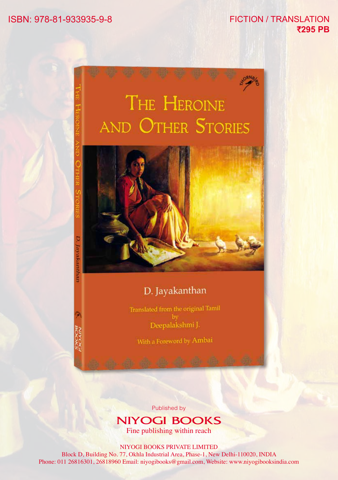#### ISBN: 978-81-933935-9-8 FICTION / TRANSLATION

## `**295 PB**





#### D. Jayakanthan

Translated from the original Tamil Deepalakshmi J.

With a Foreword by Ambai

Published by

### **NIYOGI BOOKS**

Fine publishing within reach

NIYOGI BOOKS PRIVATE LIMITED

Block D, Building No. 77, Okhla Industrial Area, Phase-1, New Delhi-110020, INDIA Phone: 011 26816301, 26818960 Email: niyogibooks@gmail.com, Website: www.niyogibooksindia.com